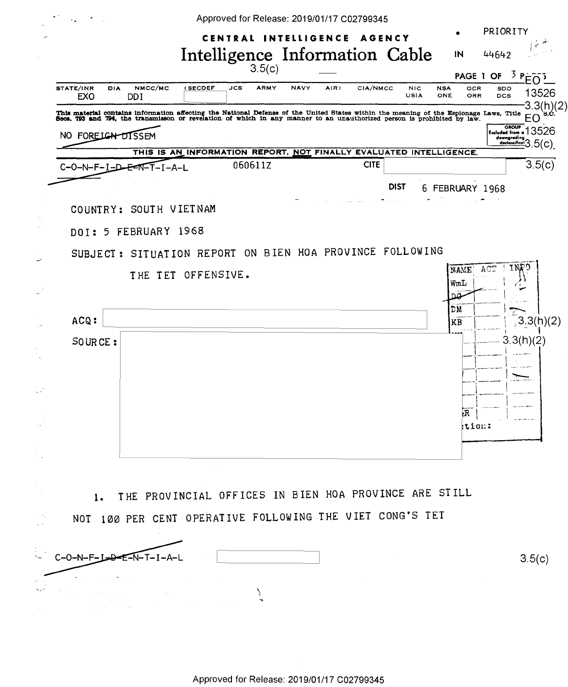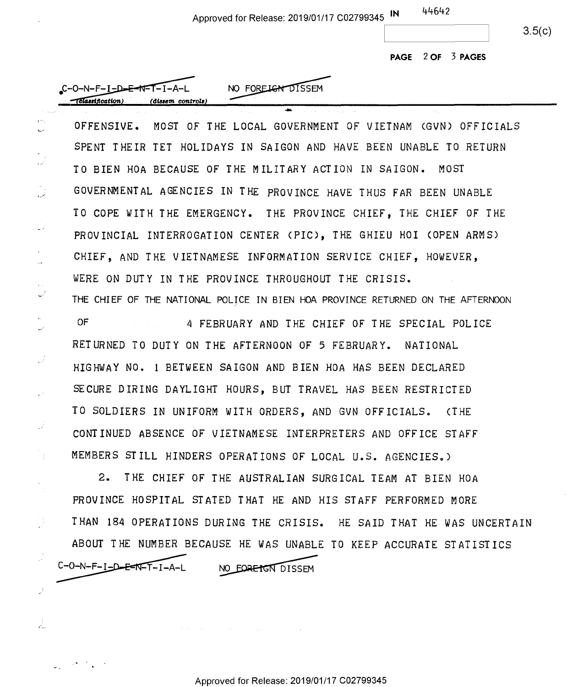Approved for Release: 2019/01/17 C02799345 **IN**  Approved for Release: 2019/01/17 <sup>002799345</sup> IN <sup>6</sup>

44642 44 H2 ~-----~

3.5(c) 3.5(0)

**PAGE 2 OF 3 PAGES**  PAGE 2 OF 3 PAGES

Approve<br>
C-O-N-F-I-D-E-N-T-I-A-L<br>
(dissem controls) \_ Ii *catum* . **cHaaem** *control•)*  .(amem controls)

, •. .✓

 $\frac{1}{2}$ 

ž.

OFFENSIVE. MOST OF THE LOCAL GOVERNMENT OF VIETNAM CGVN) OFFICIALS OFFENSIVE. MOST OF THE LOCAL GOVERNMENT OF VIETNAM (GVN) OFFICIALS SPENT THEIR TET HOLIDAYS IN SAIGON AND HAVE BEEN UNABLE TO RETURN SPENT THEIR TET HOLIDAYS IN SAIGON AND HAVE BEEN UNABLE TO RETURN TO BIEN HOA BECAUSE OF THE MILITARY ACTION IN SAIGON. MOST TO BIEN HOA BECAUSE OF THE MILITARY ACTION IN SAIGON. MOST GOVERNMENTAL AGENCIES IN THE PROVINCE HAVE THUS FAR BEEN UNABLE GOVERNMENTAL AGENCIES IN THE PROVINCE HAVE THUS FAR BEEN UNABLE TO COPE WITH THE EMERGENCY. THE PROVINCE CHIEF, THE CHIEF OF THE TO COPE WITH THE EMERGENCY. THE PROVINCE CHIEF, THE CHIEF OF THE PROVINCIAL INTERROGATION CENTER CPIC>, THE GHIEU HO! COPEN ARMS) PROVINCIAL INTERROGATION CENTER (PIC), THE GHIEU HOI (OPEN ARMS) CHIEF, AND THE VIETNAMESE INFORMATION SERVICE CHIEF, HOWEVER, CHIEF, AND THE VIETNAMESE INFORMATION SERVICE CHIEF, HOWEVER, WERE ON DUTY IN THE PROVINCE THROUGHOUT THE CRISIS. WERE ON DUTY IN THE PROVINCE THROUGHOUT THE CRISIS. THE CHIEF OF THE NATIONAL POLICE IN BIEN HOA PROVINCE RETURNED ON THE AFTERNOON THE CHIEF OF THE NATIONAL POLICE IN BIEN HOA PROVINCE RETURNED ON THE AFTERNOON

....

OF 4 FEBRUARY AND THE CHIEF OF THE SPECIAL POLICE RETURNED TO DUTY ON THE AFTERNOON OF 5 FEBRUARY. NATIONAL RETURNED TO DUTY ON THE AFTERNOON 0F 5 FEBRUARY. NATIONAL HIGHWAY NO. 1 BETWEEN SAIGON AND BIEN HOA HAS BEEN DECLARED HIGHWAY N0. 1 BETWEEN SAIGON AND BIEN HOA HAS BEEN DECLARED SECURE D IRING DAYLIGHT HOURS, BUT TRAVEL HAS BEEN RESTRICTED SECURE DIRING DAYLIGHT HOURS, BUT TRAVEL HAS BEEN RESTRICTED TO SOLDIERS IN UNIFORM WITH ORDERS, AND GVN OFFICIALS. CTHE TO SOLDIERS IN UNIFORM WITH ORDERS, AND GVN OFFICIALS. (THE CONTINUED ABSENCE OF VIETNAMESE INTERPRETERS AND OFF ICE STAFF CONTINUED ABSENCE OF VIETNAMESE INTERPRETERS AND OFFICE STAFF MEMBERS STILL HINDERS OPERATIONS OF LOCAL U.S. AGENCIES.) MEMBERS STILL HINDERS OPERATIONS OF LOCAL U.S. AGENCIESS)

2. THE CHIEF OF THE AUSTRALIAN SURGICAL TEAM AT BIEN HOA 2. THE CHIEF OF THE.AUSTRALIAN SURGICAL TEAM AT BIEN HOA PROVINCE HOSPITAL STATED THAT HE AND HIS STAFF PERFORMED MORE PROVINCE HOSPITAL STATED THAT HE AND HIS STAFF PERFORMED MORE THAN 184 OPERATIONS DURING THE CRISIS. HE SAID THAT HE WAS UNCERTAIN THAN 184 OPERATIONS DURING THE CRISIS. HE SAID THAT HE WAS UNCERTAIN ABOUT THE NUMBER BECAUSE ED THAT HE AND HIS STAFF PERFORTING THE CRISIS. HE SAID THAT<br>SE HE WAS UNABLE TO KEEP ACCUR<br>NO FORETGN DISSEM ABOUT THE NUMBER BECAUSE HE WAS UNABLE TO KEEP ACCURATE STATISTICS

 $C-O-N-F-I-D-F-1$ 

NO EORETGN DISSEM

Approved for Release: 2019/01/17 C02799345 Approved for Release: 2019/01/17 002799345